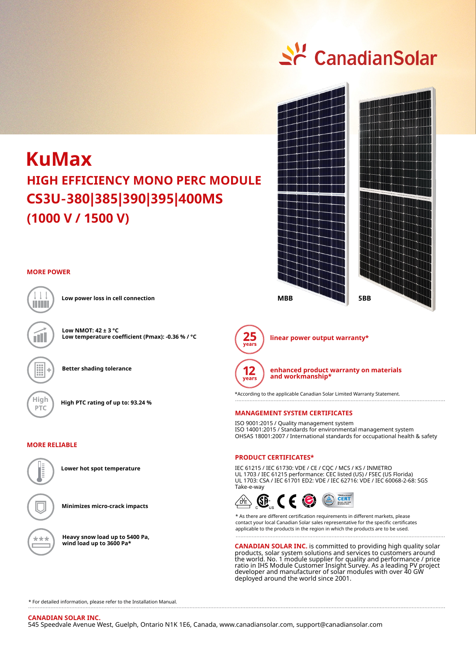# <u>수</u> CanadianSolar



## **MORE POWER**



**Better shading tolerance**

**Low temperature coefficient (Pmax): -0.36 % / °C**

**Low NMOT: 42 ± 3 °C**

**Low power loss in cell connection**



# **MORE RELIABLE**

\*\*\*

**Lower hot spot temperature**

**Minimizes micro-crack impacts**

**Heavy snow load up to 5400 Pa, wind load up to 3600 Pa\***



**linear power output warranty\***



**enhanced product warranty on materials and workmanship\***

\*According to the applicable Canadian Solar Limited Warranty Statement. 

### **MANAGEMENT SYSTEM CERTIFICATES**

ISO 9001:2015 / Quality management system ISO 14001:2015 / Standards for environmental management system OHSAS 18001:2007 / International standards for occupational health & safety

## **PRODUCT CERTIFICATES\***

IEC 61215 / IEC 61730: VDE / CE / CQC / MCS / KS / INMETRO UL 1703 / IEC 61215 performance: CEC listed (US) / FSEC (US Florida) UL 1703: CSA / IEC 61701 ED2: VDE / IEC 62716: VDE / IEC 60068-2-68: SGS Take-e-way



\* As there are different certification requirements in different markets, please contact your local Canadian Solar sales representative for the specific certificates applicable to the products in the region in which the products are to be used. . . . . . . . . . . . . . . . . . . . .

**CANADIAN SOLAR INC.** is committed to providing high quality solar products, solar system solutions and services to customers around the world. No. 1 module supplier for quality and performance / price ratio in IHS Module Customer Insight Survey. As a leading PV project developer and manufacturer of solar modules with over 40 GW deployed around the world since 2001.

\* For detailed information, please refer to the Installation Manual.